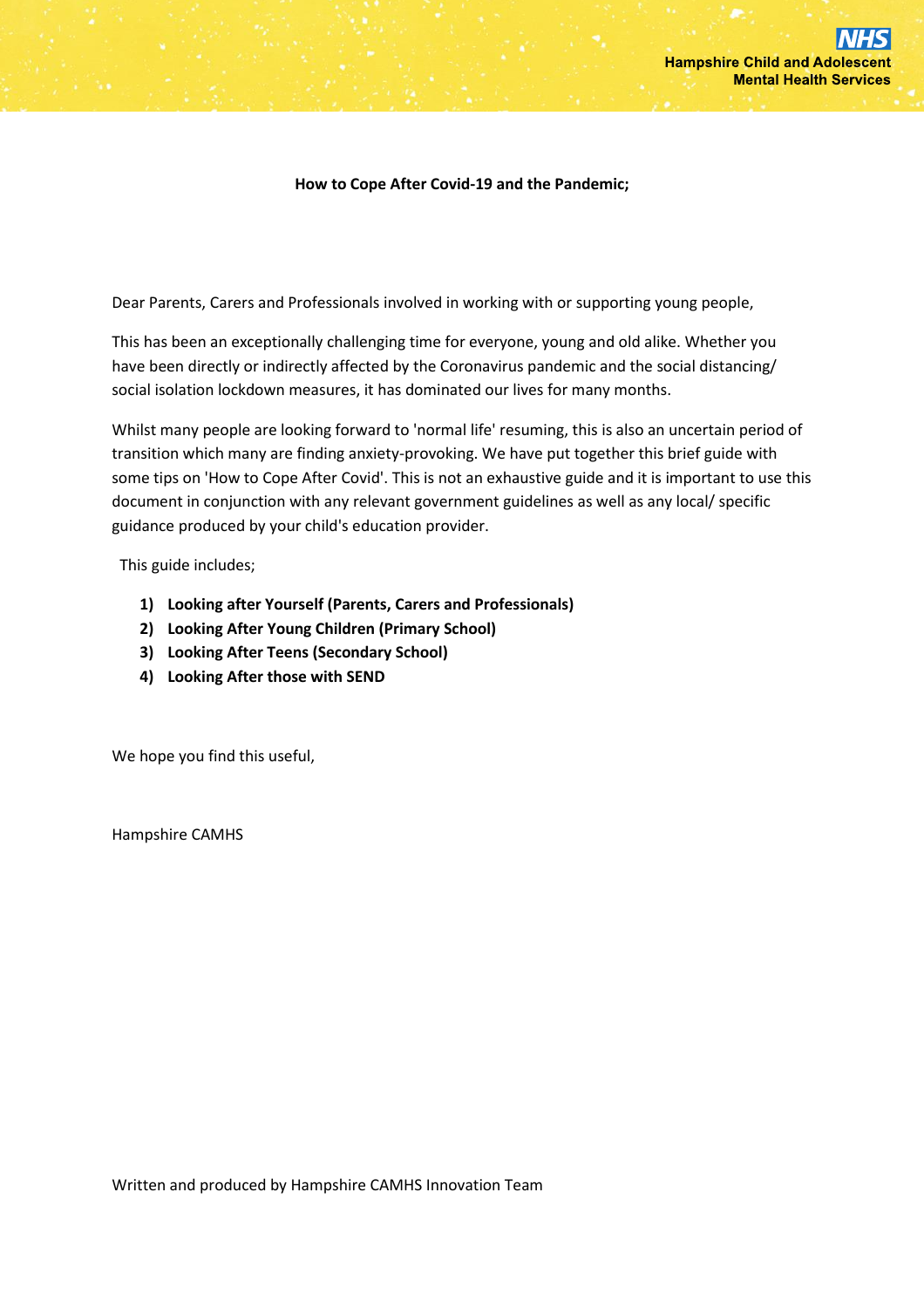#### **How to Cope After Covid-19 and the Pandemic;**

Dear Parents, Carers and Professionals involved in working with or supporting young people,

This has been an exceptionally challenging time for everyone, young and old alike. Whether you have been directly or indirectly affected by the Coronavirus pandemic and the social distancing/ social isolation lockdown measures, it has dominated our lives for many months.

Whilst many people are looking forward to 'normal life' resuming, this is also an uncertain period of transition which many are finding anxiety-provoking. We have put together this brief guide with some tips on 'How to Cope After Covid'. This is not an exhaustive guide and it is important to use this document in conjunction with any relevant government guidelines as well as any local/ specific guidance produced by your child's education provider.

This guide includes;

- **1) Looking after Yourself (Parents, Carers and Professionals)**
- **2) Looking After Young Children (Primary School)**
- **3) Looking After Teens (Secondary School)**
- **4) Looking After those with SEND**

We hope you find this useful,

Hampshire CAMHS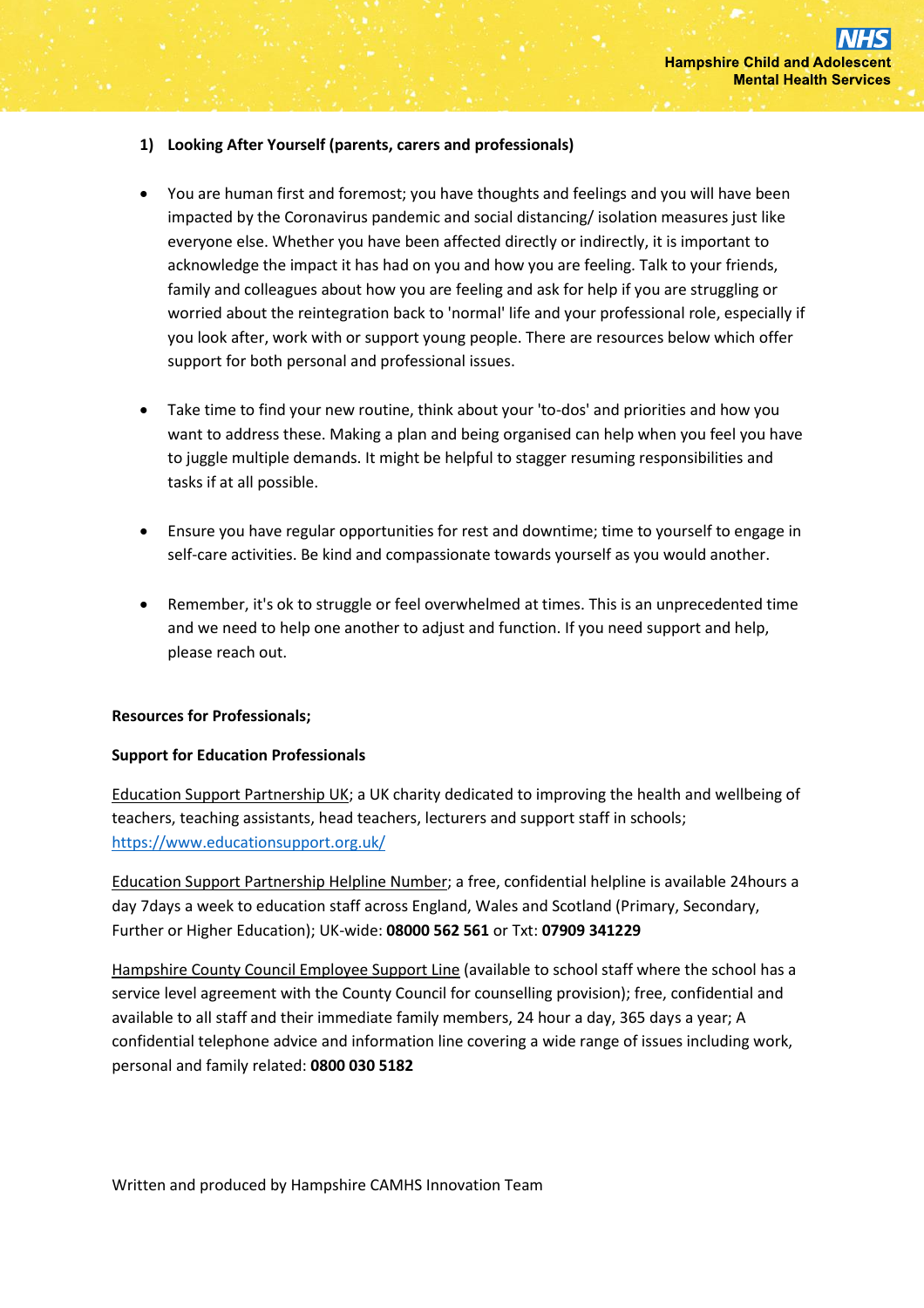#### **1) Looking After Yourself (parents, carers and professionals)**

- You are human first and foremost; you have thoughts and feelings and you will have been impacted by the Coronavirus pandemic and social distancing/ isolation measures just like everyone else. Whether you have been affected directly or indirectly, it is important to acknowledge the impact it has had on you and how you are feeling. Talk to your friends, family and colleagues about how you are feeling and ask for help if you are struggling or worried about the reintegration back to 'normal' life and your professional role, especially if you look after, work with or support young people. There are resources below which offer support for both personal and professional issues.
- Take time to find your new routine, think about your 'to-dos' and priorities and how you want to address these. Making a plan and being organised can help when you feel you have to juggle multiple demands. It might be helpful to stagger resuming responsibilities and tasks if at all possible.
- Ensure you have regular opportunities for rest and downtime; time to yourself to engage in self-care activities. Be kind and compassionate towards yourself as you would another.
- Remember, it's ok to struggle or feel overwhelmed at times. This is an unprecedented time and we need to help one another to adjust and function. If you need support and help, please reach out.

#### **Resources for Professionals;**

#### **Support for Education Professionals**

Education Support Partnership UK; a UK charity dedicated to improving the health and wellbeing of teachers, teaching assistants, head teachers, lecturers and support staff in schools; <https://www.educationsupport.org.uk/>

Education Support Partnership Helpline Number; a free, confidential helpline is available 24hours a day 7days a week to education staff across England, Wales and Scotland (Primary, Secondary, Further or Higher Education); UK-wide: **08000 562 561** or Txt: **07909 341229**

Hampshire County Council Employee Support Line (available to school staff where the school has a service level agreement with the County Council for counselling provision); free, confidential and available to all staff and their immediate family members, 24 hour a day, 365 days a year; A confidential telephone advice and information line covering a wide range of issues including work, personal and family related: **0800 030 5182**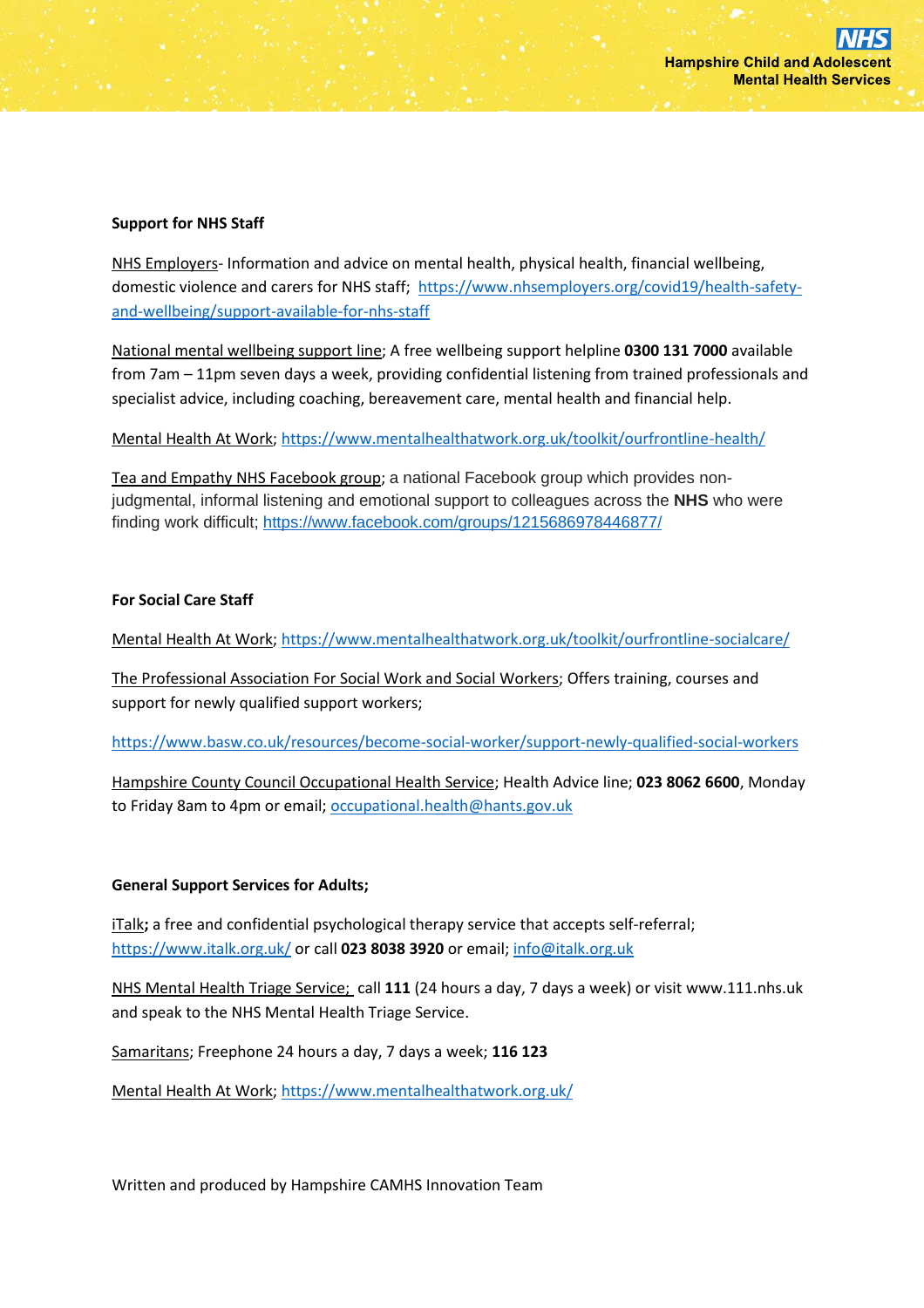### **Support for NHS Staff**

NHS Employers- Information and advice on mental health, physical health, financial wellbeing, domestic violence and carers for NHS staff; [https://www.nhsemployers.org/covid19/health-safety](https://www.nhsemployers.org/covid19/health-safety-and-wellbeing/support-available-for-nhs-staff)[and-wellbeing/support-available-for-nhs-staff](https://www.nhsemployers.org/covid19/health-safety-and-wellbeing/support-available-for-nhs-staff)

National mental wellbeing support line; A free wellbeing support helpline **0300 131 7000** available from 7am – 11pm seven days a week, providing confidential listening from trained professionals and specialist advice, including coaching, bereavement care, mental health and financial help.

Mental Health At Work;<https://www.mentalhealthatwork.org.uk/toolkit/ourfrontline-health/>

Tea and Empathy NHS Facebook group; a national Facebook group which provides nonjudgmental, informal listening and emotional support to colleagues across the **NHS** who were finding work difficult;<https://www.facebook.com/groups/1215686978446877/>

### **For Social Care Staff**

Mental Health At Work;<https://www.mentalhealthatwork.org.uk/toolkit/ourfrontline-socialcare/>

The Professional Association For Social Work and Social Workers; Offers training, courses and support for newly qualified support workers;

<https://www.basw.co.uk/resources/become-social-worker/support-newly-qualified-social-workers>

Hampshire County Council Occupational Health Service; Health Advice line; **023 8062 6600**, Monday to Friday 8am to 4pm or email[; occupational.health@hants.gov.uk](mailto:occupational.health@hants.gov.uk)

# **General Support Services for Adults;**

iTalk**;** a free and confidential psychological therapy service that accepts self-referral; <https://www.italk.org.uk/> or call **023 8038 3920** or email[; info@italk.org.uk](mailto:info@italk.org.uk)

NHS Mental Health Triage Service; call **111** (24 hours a day, 7 days a week) or visit www.111.nhs.uk and speak to the NHS Mental Health Triage Service.

Samaritans; Freephone 24 hours a day, 7 days a week; **116 123**

Mental Health At Work;<https://www.mentalhealthatwork.org.uk/>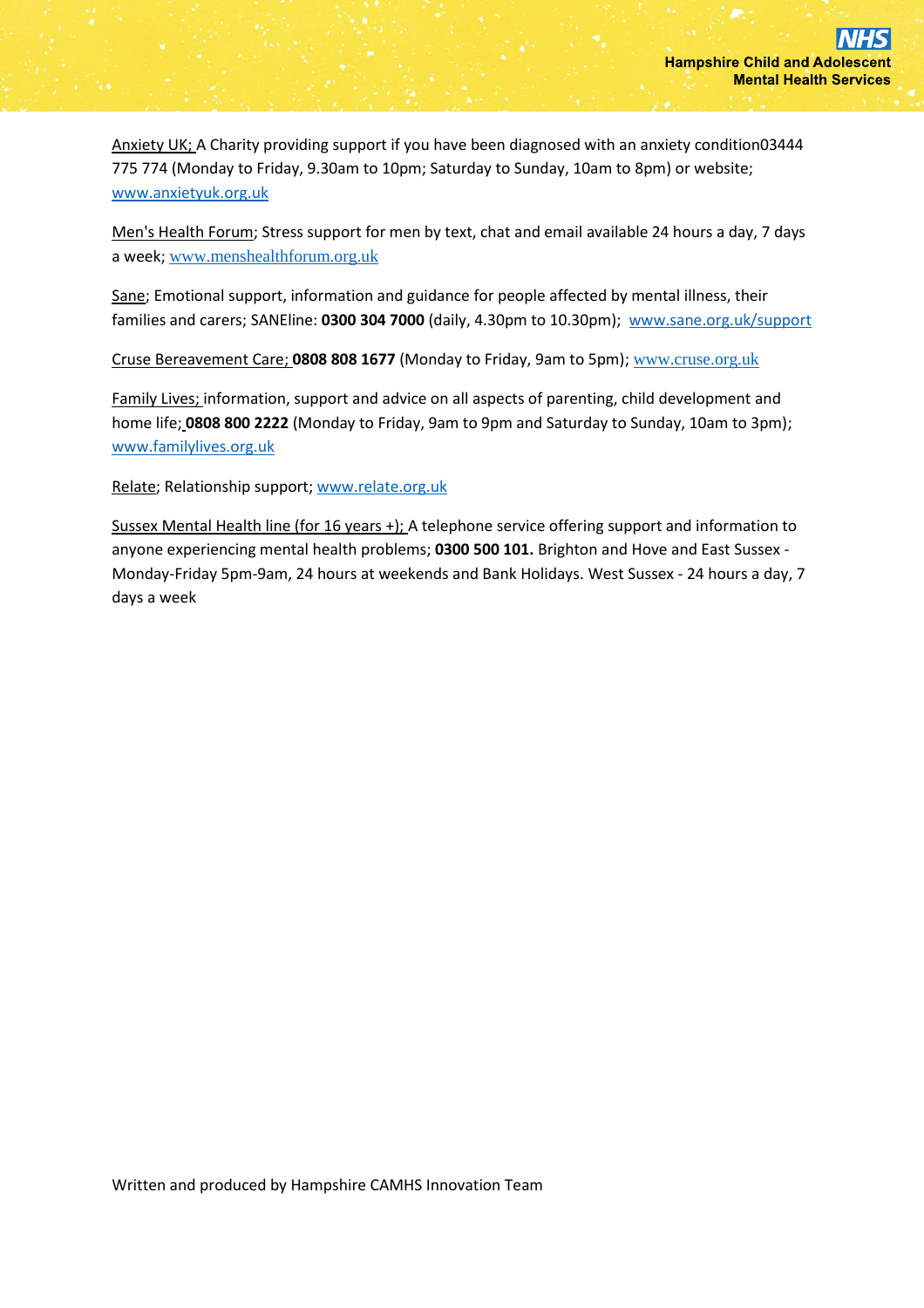Anxiety UK; A Charity providing support if you have been diagnosed with an anxiety condition03444 775 774 (Monday to Friday, 9.30am to 10pm; Saturday to Sunday, 10am to 8pm) or website; [www.anxietyuk.org.uk](http://www.anxietyuk.org.uk/)

Men's Health Forum; Stress support for men by text, chat and email available 24 hours a day, 7 days a week; [www.menshealthforum.org.uk](https://www.menshealthforum.org.uk/beatstress.uk)

Sane; Emotional support, information and guidance for people affected by mental illness, their families and carers; SANEline: **0300 304 7000** (daily, 4.30pm to 10.30pm); [www.sane.org.uk/support](http://www.sane.org.uk/support)

Cruse Bereavement Care; **0808 808 1677** (Monday to Friday, 9am to 5pm); [www.cruse.org.uk](http://www.cruse.org.uk/home)

Family Lives; information, support and advice on all aspects of parenting, child development and home life; **0808 800 2222** (Monday to Friday, 9am to 9pm and Saturday to Sunday, 10am to 3pm); [www.familylives.org.uk](http://www.familylives.org.uk/)

Relate; Relationship support; [www.relate.org.uk](http://www.relate.org.uk/)

Sussex Mental Health line (for 16 years +); A telephone service offering support and information to anyone experiencing mental health problems; **0300 500 101.** Brighton and Hove and East Sussex - Monday-Friday 5pm-9am, 24 hours at weekends and Bank Holidays. West Sussex - 24 hours a day, 7 days a week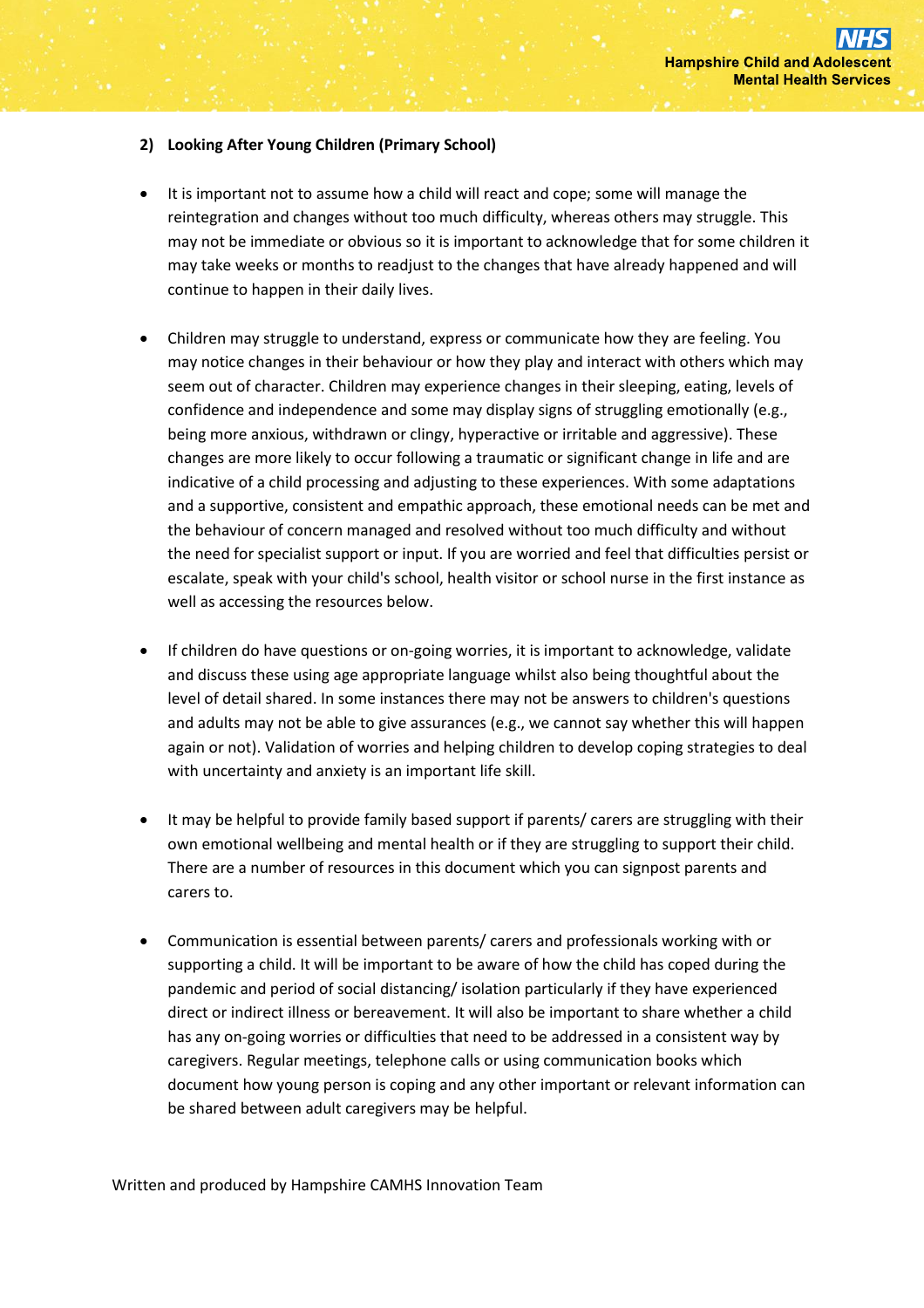## **2) Looking After Young Children (Primary School)**

- It is important not to assume how a child will react and cope; some will manage the reintegration and changes without too much difficulty, whereas others may struggle. This may not be immediate or obvious so it is important to acknowledge that for some children it may take weeks or months to readjust to the changes that have already happened and will continue to happen in their daily lives.
- Children may struggle to understand, express or communicate how they are feeling. You may notice changes in their behaviour or how they play and interact with others which may seem out of character. Children may experience changes in their sleeping, eating, levels of confidence and independence and some may display signs of struggling emotionally (e.g., being more anxious, withdrawn or clingy, hyperactive or irritable and aggressive). These changes are more likely to occur following a traumatic or significant change in life and are indicative of a child processing and adjusting to these experiences. With some adaptations and a supportive, consistent and empathic approach, these emotional needs can be met and the behaviour of concern managed and resolved without too much difficulty and without the need for specialist support or input. If you are worried and feel that difficulties persist or escalate, speak with your child's school, health visitor or school nurse in the first instance as well as accessing the resources below.
- If children do have questions or on-going worries, it is important to acknowledge, validate and discuss these using age appropriate language whilst also being thoughtful about the level of detail shared. In some instances there may not be answers to children's questions and adults may not be able to give assurances (e.g., we cannot say whether this will happen again or not). Validation of worries and helping children to develop coping strategies to deal with uncertainty and anxiety is an important life skill.
- It may be helpful to provide family based support if parents/ carers are struggling with their own emotional wellbeing and mental health or if they are struggling to support their child. There are a number of resources in this document which you can signpost parents and carers to.
- Communication is essential between parents/ carers and professionals working with or supporting a child. It will be important to be aware of how the child has coped during the pandemic and period of social distancing/ isolation particularly if they have experienced direct or indirect illness or bereavement. It will also be important to share whether a child has any on-going worries or difficulties that need to be addressed in a consistent way by caregivers. Regular meetings, telephone calls or using communication books which document how young person is coping and any other important or relevant information can be shared between adult caregivers may be helpful.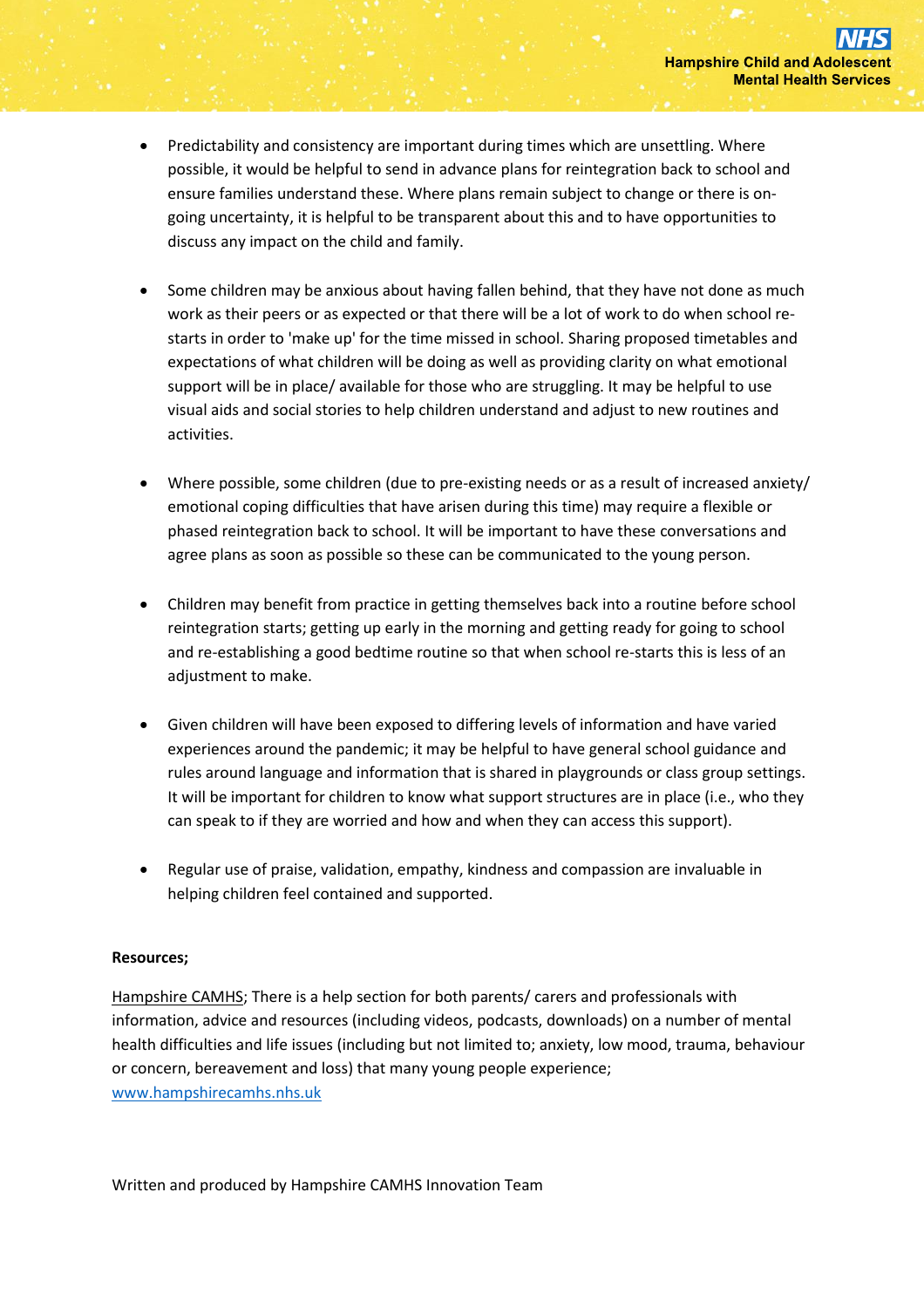- Predictability and consistency are important during times which are unsettling. Where possible, it would be helpful to send in advance plans for reintegration back to school and ensure families understand these. Where plans remain subject to change or there is ongoing uncertainty, it is helpful to be transparent about this and to have opportunities to discuss any impact on the child and family.
- Some children may be anxious about having fallen behind, that they have not done as much work as their peers or as expected or that there will be a lot of work to do when school restarts in order to 'make up' for the time missed in school. Sharing proposed timetables and expectations of what children will be doing as well as providing clarity on what emotional support will be in place/ available for those who are struggling. It may be helpful to use visual aids and social stories to help children understand and adjust to new routines and activities.
- Where possible, some children (due to pre-existing needs or as a result of increased anxiety/ emotional coping difficulties that have arisen during this time) may require a flexible or phased reintegration back to school. It will be important to have these conversations and agree plans as soon as possible so these can be communicated to the young person.
- Children may benefit from practice in getting themselves back into a routine before school reintegration starts; getting up early in the morning and getting ready for going to school and re-establishing a good bedtime routine so that when school re-starts this is less of an adjustment to make.
- Given children will have been exposed to differing levels of information and have varied experiences around the pandemic; it may be helpful to have general school guidance and rules around language and information that is shared in playgrounds or class group settings. It will be important for children to know what support structures are in place (i.e., who they can speak to if they are worried and how and when they can access this support).
- Regular use of praise, validation, empathy, kindness and compassion are invaluable in helping children feel contained and supported.

# **Resources;**

Hampshire CAMHS; There is a help section for both parents/ carers and professionals with information, advice and resources (including videos, podcasts, downloads) on a number of mental health difficulties and life issues (including but not limited to; anxiety, low mood, trauma, behaviour or concern, bereavement and loss) that many young people experience; [www.hampshirecamhs.nhs.uk](http://www.hampshirecamhs.nhs.uk/)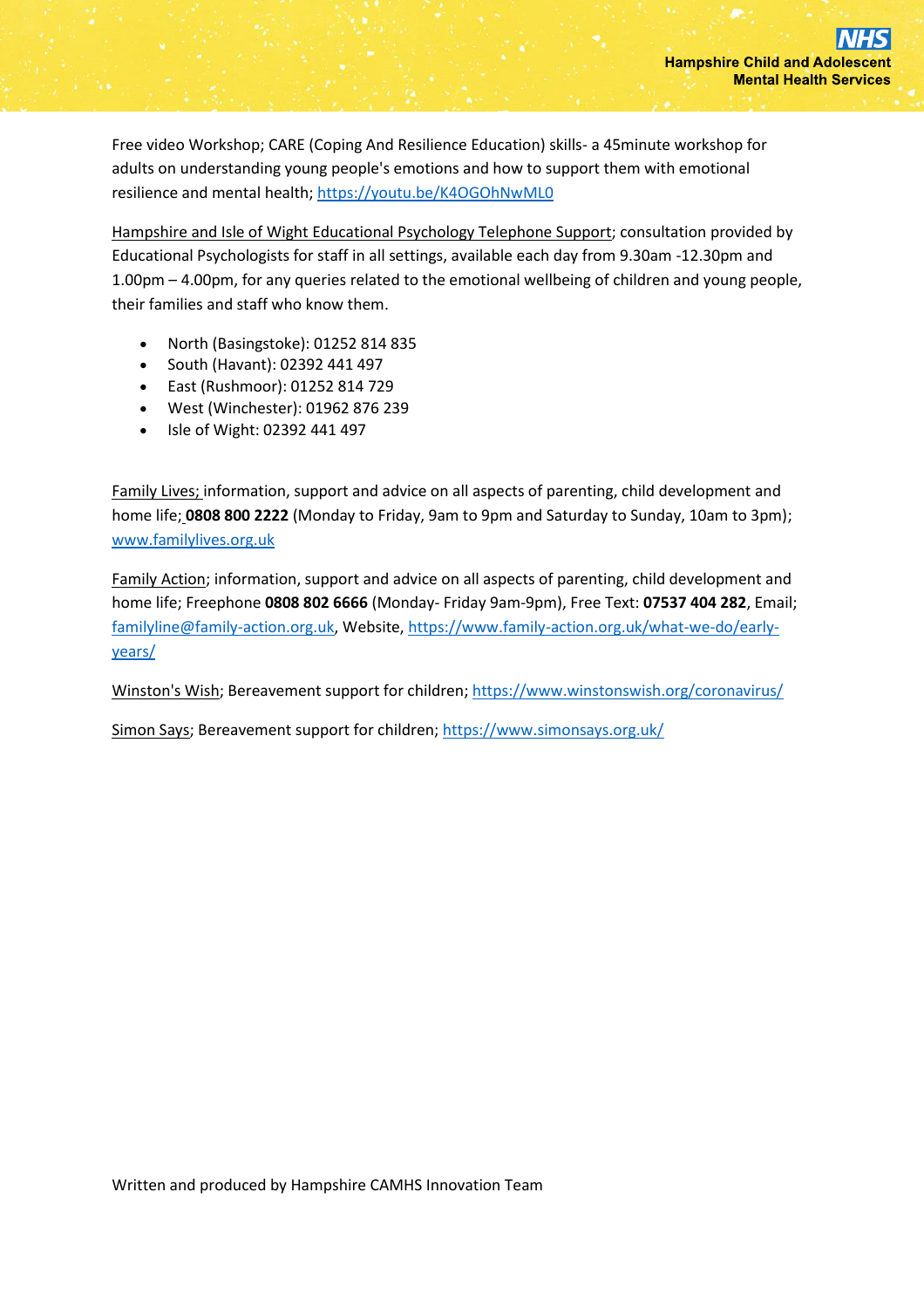Free video Workshop; CARE (Coping And Resilience Education) skills- a 45minute workshop for adults on understanding young people's emotions and how to support them with emotional resilience and mental health;<https://youtu.be/K4OGOhNwML0>

Hampshire and Isle of Wight Educational Psychology Telephone Support; consultation provided by Educational Psychologists for staff in all settings, available each day from 9.30am -12.30pm and 1.00pm – 4.00pm, for any queries related to the emotional wellbeing of children and young people, their families and staff who know them.

- North (Basingstoke): 01252 814 835
- South (Havant): 02392 441 497
- East (Rushmoor): 01252 814 729
- West (Winchester): 01962 876 239
- Isle of Wight: 02392 441 497

Family Lives; information, support and advice on all aspects of parenting, child development and home life; **0808 800 2222** (Monday to Friday, 9am to 9pm and Saturday to Sunday, 10am to 3pm); [www.familylives.org.uk](http://www.familylives.org.uk/)

Family Action; information, support and advice on all aspects of parenting, child development and home life; Freephone **0808 802 6666** (Monday- Friday 9am-9pm), Free Text: **07537 404 282**, Email; [familyline@family-action.org.uk,](mailto:familyline@family-action.org.uk) Website[, https://www.family-action.org.uk/what-we-do/early](https://www.family-action.org.uk/what-we-do/early-years/)[years/](https://www.family-action.org.uk/what-we-do/early-years/)

Winston's Wish; Bereavement support for children;<https://www.winstonswish.org/coronavirus/>

Simon Says; Bereavement support for children;<https://www.simonsays.org.uk/>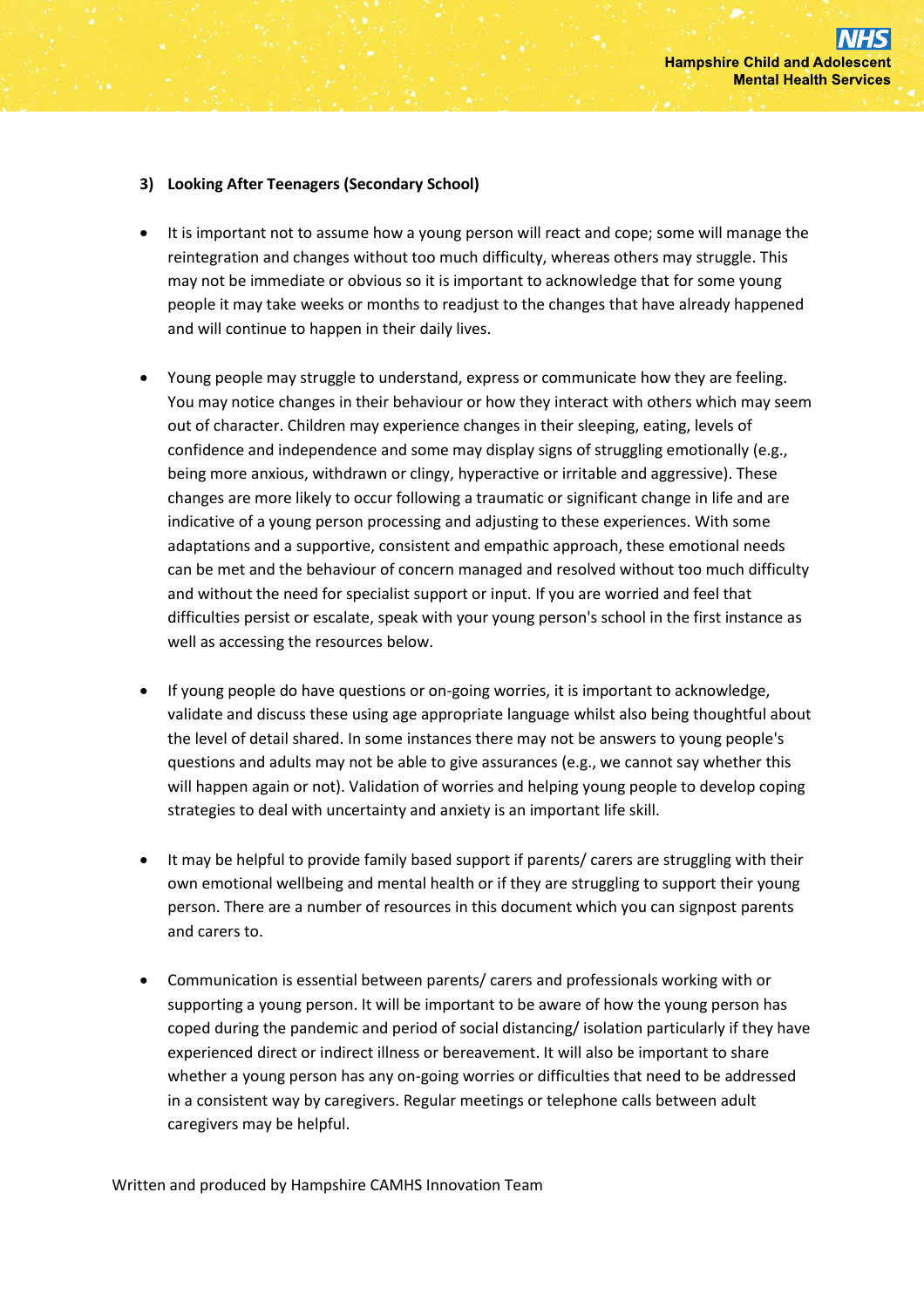## **3) Looking After Teenagers (Secondary School)**

- It is important not to assume how a young person will react and cope; some will manage the reintegration and changes without too much difficulty, whereas others may struggle. This may not be immediate or obvious so it is important to acknowledge that for some young people it may take weeks or months to readjust to the changes that have already happened and will continue to happen in their daily lives.
- Young people may struggle to understand, express or communicate how they are feeling. You may notice changes in their behaviour or how they interact with others which may seem out of character. Children may experience changes in their sleeping, eating, levels of confidence and independence and some may display signs of struggling emotionally (e.g., being more anxious, withdrawn or clingy, hyperactive or irritable and aggressive). These changes are more likely to occur following a traumatic or significant change in life and are indicative of a young person processing and adjusting to these experiences. With some adaptations and a supportive, consistent and empathic approach, these emotional needs can be met and the behaviour of concern managed and resolved without too much difficulty and without the need for specialist support or input. If you are worried and feel that difficulties persist or escalate, speak with your young person's school in the first instance as well as accessing the resources below.
- If young people do have questions or on-going worries, it is important to acknowledge, validate and discuss these using age appropriate language whilst also being thoughtful about the level of detail shared. In some instances there may not be answers to young people's questions and adults may not be able to give assurances (e.g., we cannot say whether this will happen again or not). Validation of worries and helping young people to develop coping strategies to deal with uncertainty and anxiety is an important life skill.
- It may be helpful to provide family based support if parents/ carers are struggling with their own emotional wellbeing and mental health or if they are struggling to support their young person. There are a number of resources in this document which you can signpost parents and carers to.
- Communication is essential between parents/ carers and professionals working with or supporting a young person. It will be important to be aware of how the young person has coped during the pandemic and period of social distancing/ isolation particularly if they have experienced direct or indirect illness or bereavement. It will also be important to share whether a young person has any on-going worries or difficulties that need to be addressed in a consistent way by caregivers. Regular meetings or telephone calls between adult caregivers may be helpful.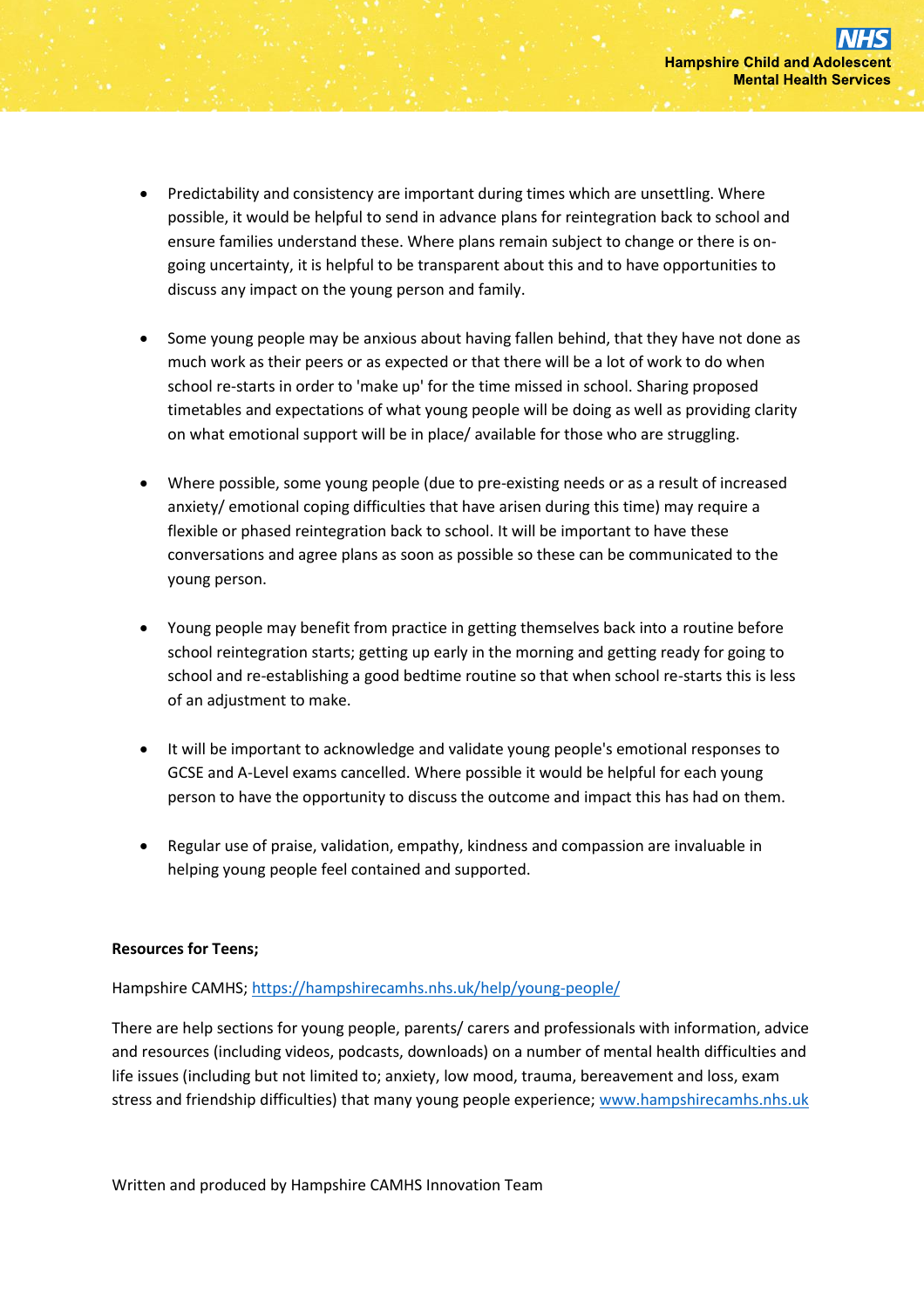- Predictability and consistency are important during times which are unsettling. Where possible, it would be helpful to send in advance plans for reintegration back to school and ensure families understand these. Where plans remain subject to change or there is ongoing uncertainty, it is helpful to be transparent about this and to have opportunities to discuss any impact on the young person and family.
- Some young people may be anxious about having fallen behind, that they have not done as much work as their peers or as expected or that there will be a lot of work to do when school re-starts in order to 'make up' for the time missed in school. Sharing proposed timetables and expectations of what young people will be doing as well as providing clarity on what emotional support will be in place/ available for those who are struggling.
- Where possible, some young people (due to pre-existing needs or as a result of increased anxiety/ emotional coping difficulties that have arisen during this time) may require a flexible or phased reintegration back to school. It will be important to have these conversations and agree plans as soon as possible so these can be communicated to the young person.
- Young people may benefit from practice in getting themselves back into a routine before school reintegration starts; getting up early in the morning and getting ready for going to school and re-establishing a good bedtime routine so that when school re-starts this is less of an adjustment to make.
- It will be important to acknowledge and validate young people's emotional responses to GCSE and A-Level exams cancelled. Where possible it would be helpful for each young person to have the opportunity to discuss the outcome and impact this has had on them.
- Regular use of praise, validation, empathy, kindness and compassion are invaluable in helping young people feel contained and supported.

# **Resources for Teens;**

Hampshire CAMHS;<https://hampshirecamhs.nhs.uk/help/young-people/>

There are help sections for young people, parents/ carers and professionals with information, advice and resources (including videos, podcasts, downloads) on a number of mental health difficulties and life issues (including but not limited to; anxiety, low mood, trauma, bereavement and loss, exam stress and friendship difficulties) that many young people experience; [www.hampshirecamhs.nhs.uk](http://www.hampshirecamhs.nhs.uk/)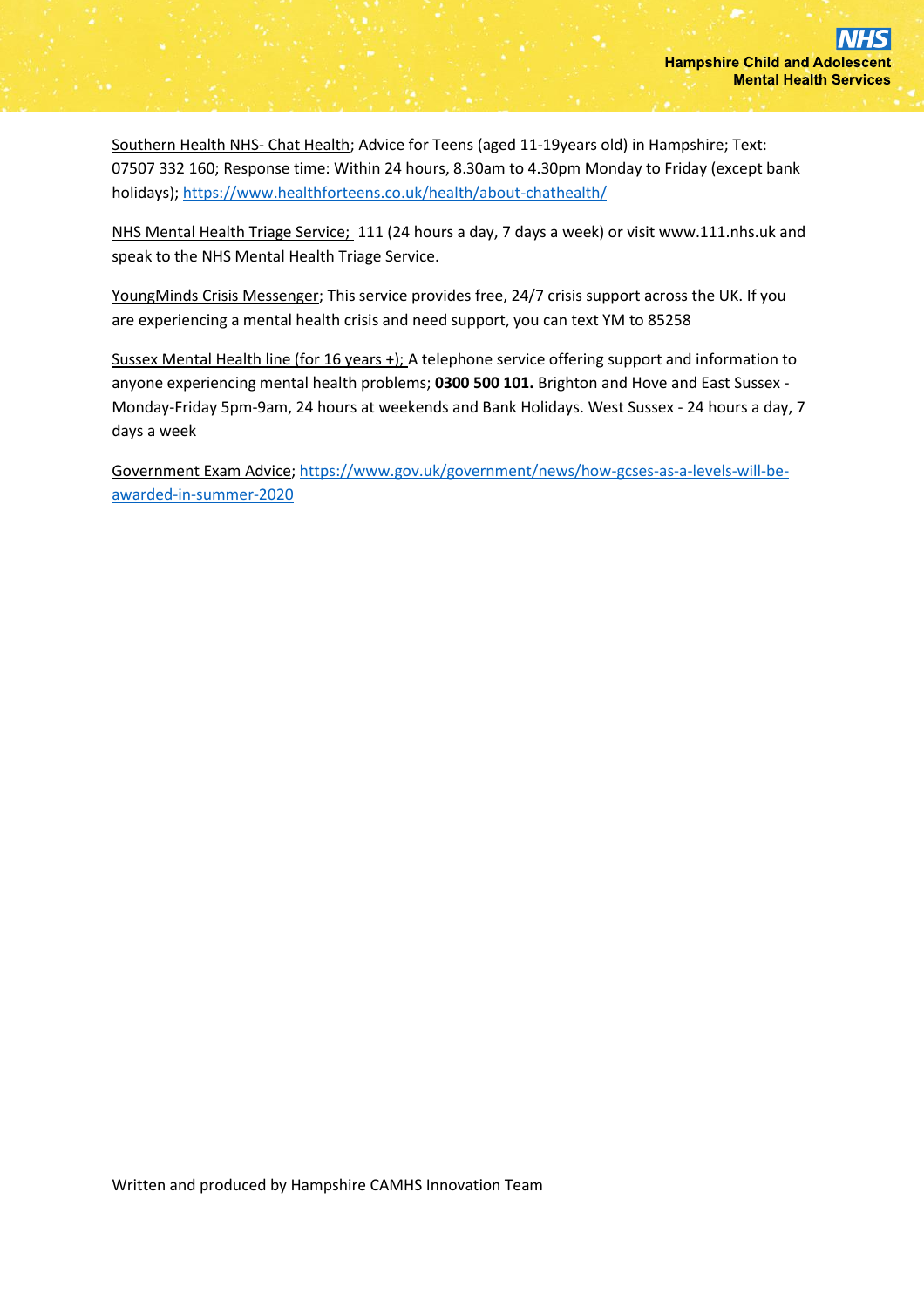Southern Health NHS- Chat Health; Advice for Teens (aged 11-19years old) in Hampshire; Text: 07507 332 160; Response time: Within 24 hours, 8.30am to 4.30pm Monday to Friday (except bank holidays)[; https://www.healthforteens.co.uk/health/about-chathealth/](https://www.healthforteens.co.uk/health/about-chathealth/)

NHS Mental Health Triage Service; 111 (24 hours a day, 7 days a week) or visit www.111.nhs.uk and speak to the NHS Mental Health Triage Service.

YoungMinds Crisis Messenger; This service provides free, 24/7 crisis support across the UK. If you are experiencing a mental health crisis and need support, you can text YM to 85258

Sussex Mental Health line (for 16 years +); A telephone service offering support and information to anyone experiencing mental health problems; **0300 500 101.** Brighton and Hove and East Sussex - Monday-Friday 5pm-9am, 24 hours at weekends and Bank Holidays. West Sussex - 24 hours a day, 7 days a week

Government Exam Advice; [https://www.gov.uk/government/news/how-gcses-as-a-levels-will-be](https://www.gov.uk/government/news/how-gcses-as-a-levels-will-be-awarded-in-summer-2020)[awarded-in-summer-2020](https://www.gov.uk/government/news/how-gcses-as-a-levels-will-be-awarded-in-summer-2020)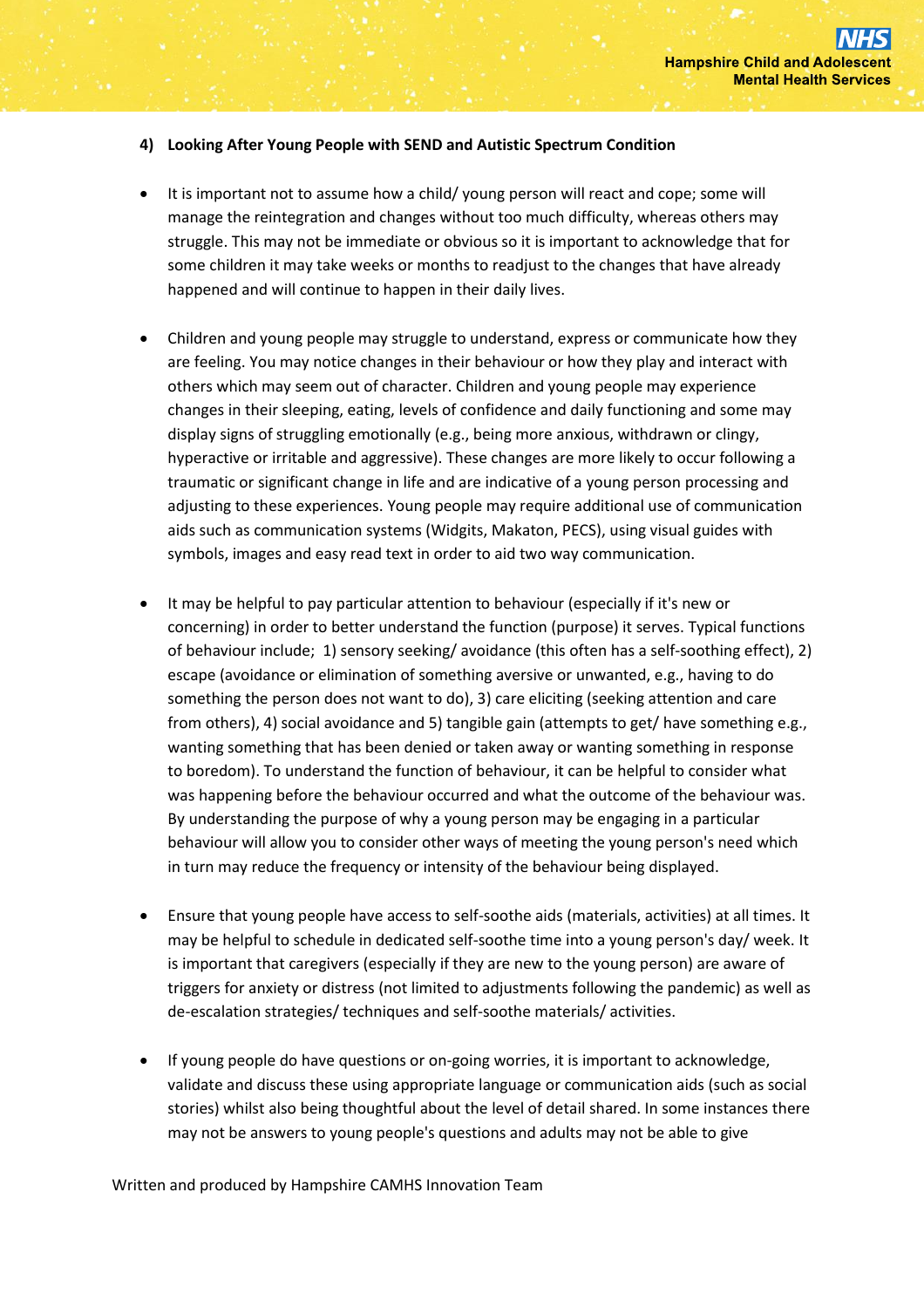### **4) Looking After Young People with SEND and Autistic Spectrum Condition**

- It is important not to assume how a child/ young person will react and cope; some will manage the reintegration and changes without too much difficulty, whereas others may struggle. This may not be immediate or obvious so it is important to acknowledge that for some children it may take weeks or months to readjust to the changes that have already happened and will continue to happen in their daily lives.
- Children and young people may struggle to understand, express or communicate how they are feeling. You may notice changes in their behaviour or how they play and interact with others which may seem out of character. Children and young people may experience changes in their sleeping, eating, levels of confidence and daily functioning and some may display signs of struggling emotionally (e.g., being more anxious, withdrawn or clingy, hyperactive or irritable and aggressive). These changes are more likely to occur following a traumatic or significant change in life and are indicative of a young person processing and adjusting to these experiences. Young people may require additional use of communication aids such as communication systems (Widgits, Makaton, PECS), using visual guides with symbols, images and easy read text in order to aid two way communication.
- It may be helpful to pay particular attention to behaviour (especially if it's new or concerning) in order to better understand the function (purpose) it serves. Typical functions of behaviour include; 1) sensory seeking/ avoidance (this often has a self-soothing effect), 2) escape (avoidance or elimination of something aversive or unwanted, e.g., having to do something the person does not want to do), 3) care eliciting (seeking attention and care from others), 4) social avoidance and 5) tangible gain (attempts to get/ have something e.g., wanting something that has been denied or taken away or wanting something in response to boredom). To understand the function of behaviour, it can be helpful to consider what was happening before the behaviour occurred and what the outcome of the behaviour was. By understanding the purpose of why a young person may be engaging in a particular behaviour will allow you to consider other ways of meeting the young person's need which in turn may reduce the frequency or intensity of the behaviour being displayed.
- Ensure that young people have access to self-soothe aids (materials, activities) at all times. It may be helpful to schedule in dedicated self-soothe time into a young person's day/ week. It is important that caregivers (especially if they are new to the young person) are aware of triggers for anxiety or distress (not limited to adjustments following the pandemic) as well as de-escalation strategies/ techniques and self-soothe materials/ activities.
- If young people do have questions or on-going worries, it is important to acknowledge, validate and discuss these using appropriate language or communication aids (such as social stories) whilst also being thoughtful about the level of detail shared. In some instances there may not be answers to young people's questions and adults may not be able to give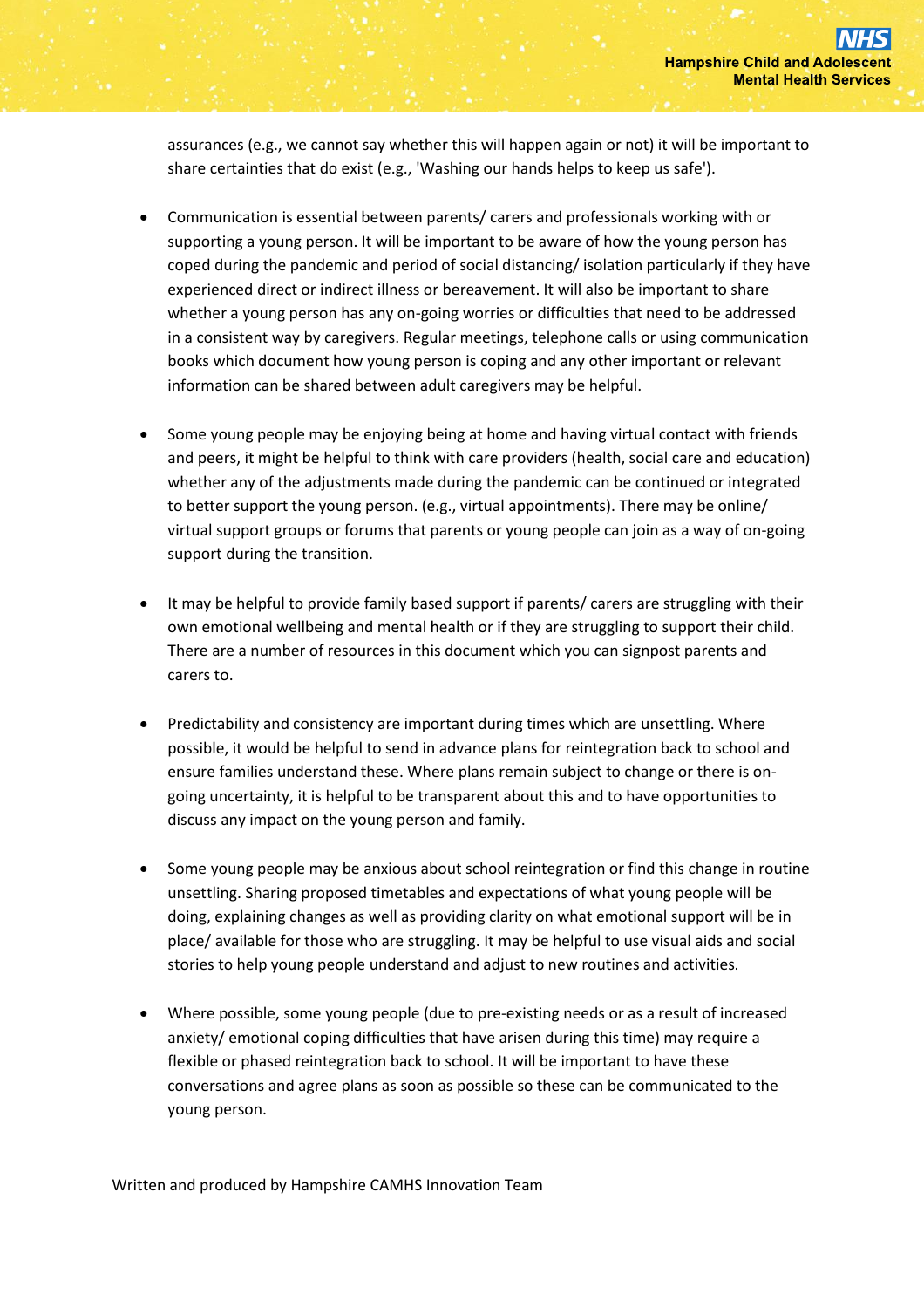assurances (e.g., we cannot say whether this will happen again or not) it will be important to share certainties that do exist (e.g., 'Washing our hands helps to keep us safe').

- Communication is essential between parents/ carers and professionals working with or supporting a young person. It will be important to be aware of how the young person has coped during the pandemic and period of social distancing/ isolation particularly if they have experienced direct or indirect illness or bereavement. It will also be important to share whether a young person has any on-going worries or difficulties that need to be addressed in a consistent way by caregivers. Regular meetings, telephone calls or using communication books which document how young person is coping and any other important or relevant information can be shared between adult caregivers may be helpful.
- Some young people may be enjoying being at home and having virtual contact with friends and peers, it might be helpful to think with care providers (health, social care and education) whether any of the adjustments made during the pandemic can be continued or integrated to better support the young person. (e.g., virtual appointments). There may be online/ virtual support groups or forums that parents or young people can join as a way of on-going support during the transition.
- It may be helpful to provide family based support if parents/ carers are struggling with their own emotional wellbeing and mental health or if they are struggling to support their child. There are a number of resources in this document which you can signpost parents and carers to.
- Predictability and consistency are important during times which are unsettling. Where possible, it would be helpful to send in advance plans for reintegration back to school and ensure families understand these. Where plans remain subject to change or there is ongoing uncertainty, it is helpful to be transparent about this and to have opportunities to discuss any impact on the young person and family.
- Some young people may be anxious about school reintegration or find this change in routine unsettling. Sharing proposed timetables and expectations of what young people will be doing, explaining changes as well as providing clarity on what emotional support will be in place/ available for those who are struggling. It may be helpful to use visual aids and social stories to help young people understand and adjust to new routines and activities.
- Where possible, some young people (due to pre-existing needs or as a result of increased anxiety/ emotional coping difficulties that have arisen during this time) may require a flexible or phased reintegration back to school. It will be important to have these conversations and agree plans as soon as possible so these can be communicated to the young person.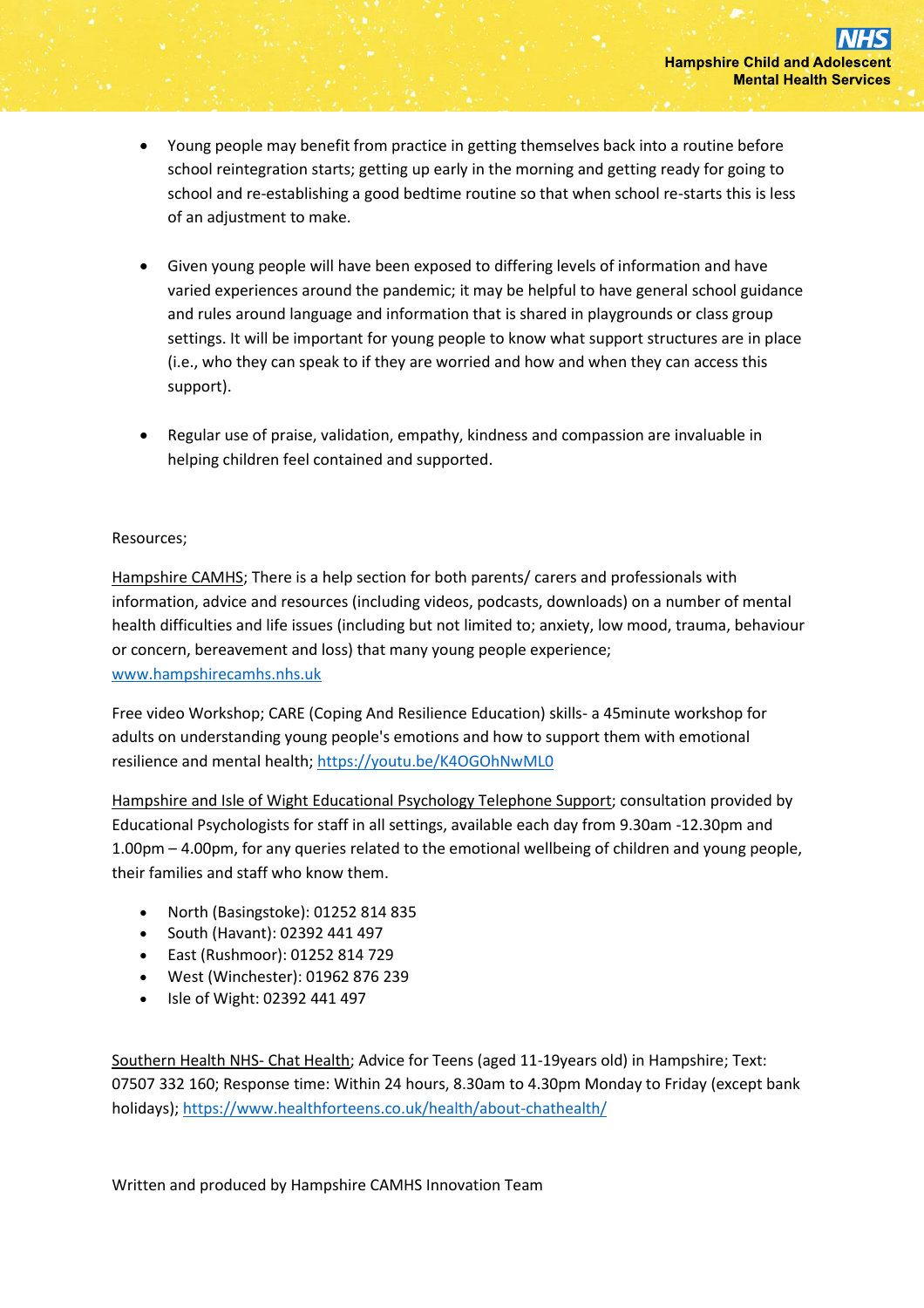- Young people may benefit from practice in getting themselves back into a routine before school reintegration starts; getting up early in the morning and getting ready for going to school and re-establishing a good bedtime routine so that when school re-starts this is less of an adjustment to make.
- Given young people will have been exposed to differing levels of information and have varied experiences around the pandemic; it may be helpful to have general school guidance and rules around language and information that is shared in playgrounds or class group settings. It will be important for young people to know what support structures are in place (i.e., who they can speak to if they are worried and how and when they can access this support).
- Regular use of praise, validation, empathy, kindness and compassion are invaluable in helping children feel contained and supported.

### Resources;

Hampshire CAMHS; There is a help section for both parents/ carers and professionals with information, advice and resources (including videos, podcasts, downloads) on a number of mental health difficulties and life issues (including but not limited to; anxiety, low mood, trauma, behaviour or concern, bereavement and loss) that many young people experience; [www.hampshirecamhs.nhs.uk](http://www.hampshirecamhs.nhs.uk/)

Free video Workshop; CARE (Coping And Resilience Education) skills- a 45minute workshop for adults on understanding young people's emotions and how to support them with emotional resilience and mental health;<https://youtu.be/K4OGOhNwML0>

Hampshire and Isle of Wight Educational Psychology Telephone Support; consultation provided by Educational Psychologists for staff in all settings, available each day from 9.30am -12.30pm and 1.00pm – 4.00pm, for any queries related to the emotional wellbeing of children and young people, their families and staff who know them.

- North (Basingstoke): 01252 814 835
- South (Havant): 02392 441 497
- East (Rushmoor): 01252 814 729
- West (Winchester): 01962 876 239
- Isle of Wight: 02392 441 497

Southern Health NHS- Chat Health; Advice for Teens (aged 11-19years old) in Hampshire; Text: 07507 332 160; Response time: Within 24 hours, 8.30am to 4.30pm Monday to Friday (except bank holidays)[; https://www.healthforteens.co.uk/health/about-chathealth/](https://www.healthforteens.co.uk/health/about-chathealth/)